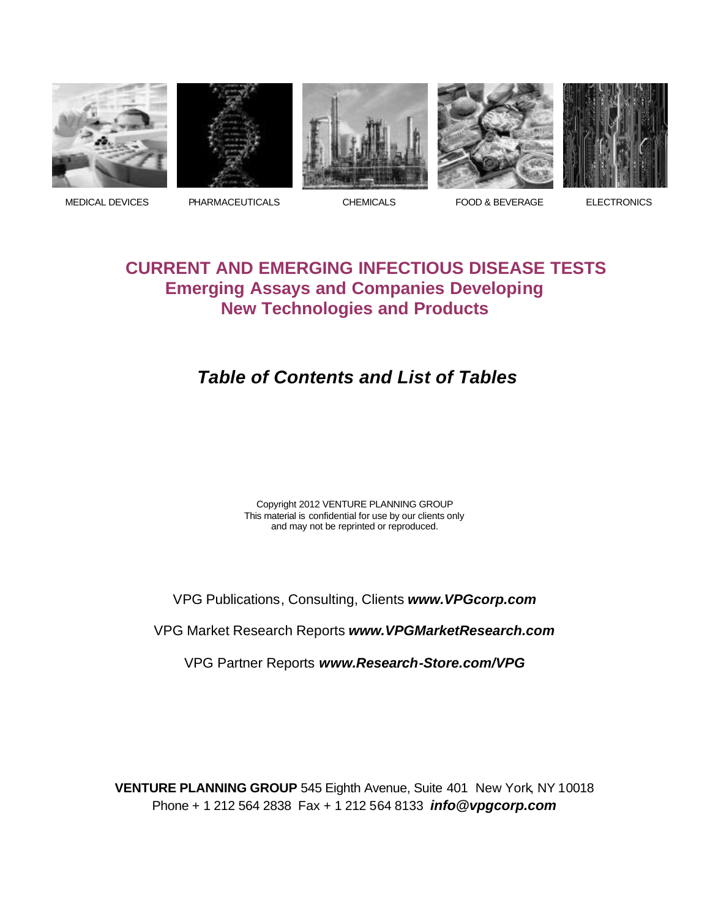









MEDICAL DEVICES PHARMACEUTICALS CHEMICALS FOOD & BEVERAGE ELECTRONICS

## **CURRENT AND EMERGING INFECTIOUS DISEASE TESTS Emerging Assays and Companies Developing New Technologies and Products**

# *Table of Contents and List of Tables*

Copyright 2012 VENTURE PLANNING GROUP This material is confidential for use by our clients only and may not be reprinted or reproduced.

VPG Publications, Consulting, Clients *www.VPGcorp.com*

VPG Market Research Reports *www.VPGMarketResearch.com*

VPG Partner Reports *www.Research-Store.com/VPG*

**VENTURE PLANNING GROUP** 545 Eighth Avenue, Suite 401 New York, NY 10018 Phone + 1 212 564 2838 Fax + 1 212 564 8133 *info@vpgcorp.com*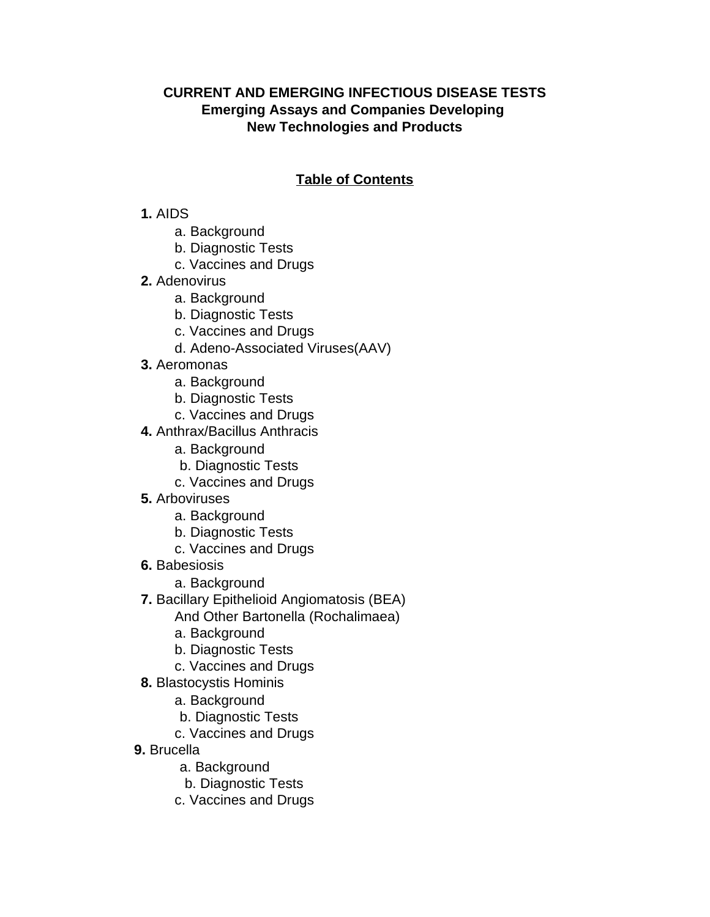### **CURRENT AND EMERGING INFECTIOUS DISEASE TESTS Emerging Assays and Companies Developing New Technologies and Products**

### **Table of Contents**

#### **1.** AIDS

- a. Background
- b. Diagnostic Tests
- c. Vaccines and Drugs
- **2.** Adenovirus
	- a. Background
	- b. Diagnostic Tests
	- c. Vaccines and Drugs
	- d. Adeno-Associated Viruses(AAV)
- **3.** Aeromonas
	- a. Background
	- b. Diagnostic Tests
	- c. Vaccines and Drugs
- **4.** Anthrax/Bacillus Anthracis
	- a. Background
	- b. Diagnostic Tests
	- c. Vaccines and Drugs
- **5.** Arboviruses
	- a. Background
	- b. Diagnostic Tests
	- c. Vaccines and Drugs
- **6.** Babesiosis
	- a. Background
- **7.** Bacillary Epithelioid Angiomatosis (BEA)
	- And Other Bartonella (Rochalimaea)
	- a. Background
	- b. Diagnostic Tests
	- c. Vaccines and Drugs
- **8.** Blastocystis Hominis
	- a. Background
	- b. Diagnostic Tests
	- c. Vaccines and Drugs
- **9.** Brucella
	- a. Background
	- b. Diagnostic Tests
	- c. Vaccines and Drugs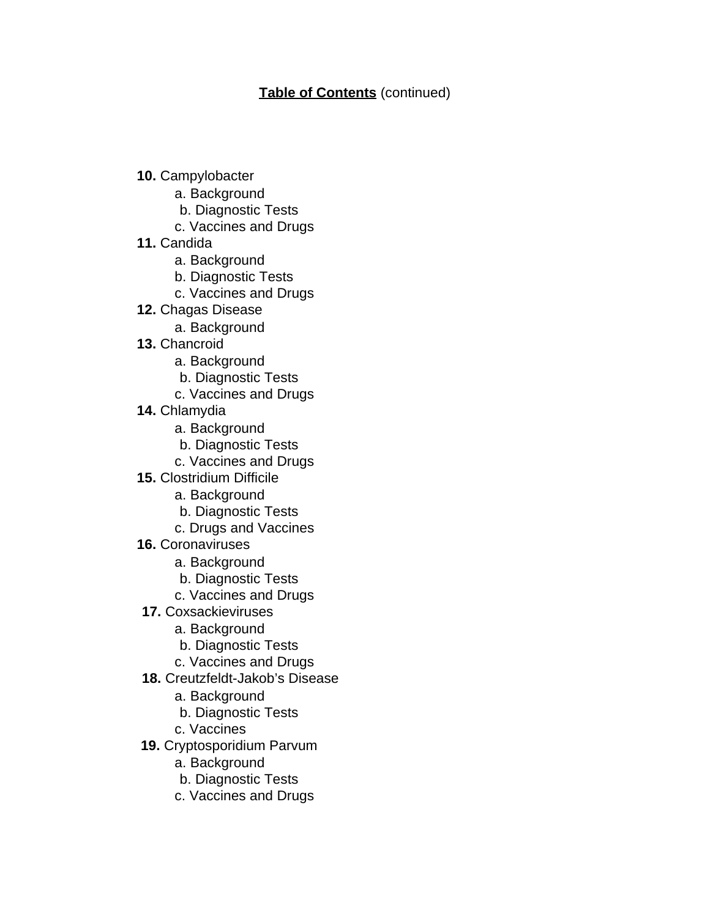- **10.** Campylobacter
	- a. Background
	- b. Diagnostic Tests
	- c. Vaccines and Drugs
- **11.** Candida
	- a. Background
	- b. Diagnostic Tests
	- c. Vaccines and Drugs
- **12.** Chagas Disease
	- a. Background
- **13.** Chancroid
	- a. Background
	- b. Diagnostic Tests
	- c. Vaccines and Drugs
- **14.** Chlamydia
	- a. Background
	- b. Diagnostic Tests
	- c. Vaccines and Drugs
- **15.** Clostridium Difficile
	- a. Background
	- b. Diagnostic Tests
	- c. Drugs and Vaccines
- **16.** Coronaviruses
	- a. Background
	- b. Diagnostic Tests
	- c. Vaccines and Drugs
- **17.** Coxsackieviruses
	- a. Background
	- b. Diagnostic Tests
	- c. Vaccines and Drugs
- **18.** Creutzfeldt-Jakob's Disease
	- a. Background
	- b. Diagnostic Tests
	- c. Vaccines
- **19.** Cryptosporidium Parvum
	- a. Background
	- b. Diagnostic Tests
	- c. Vaccines and Drugs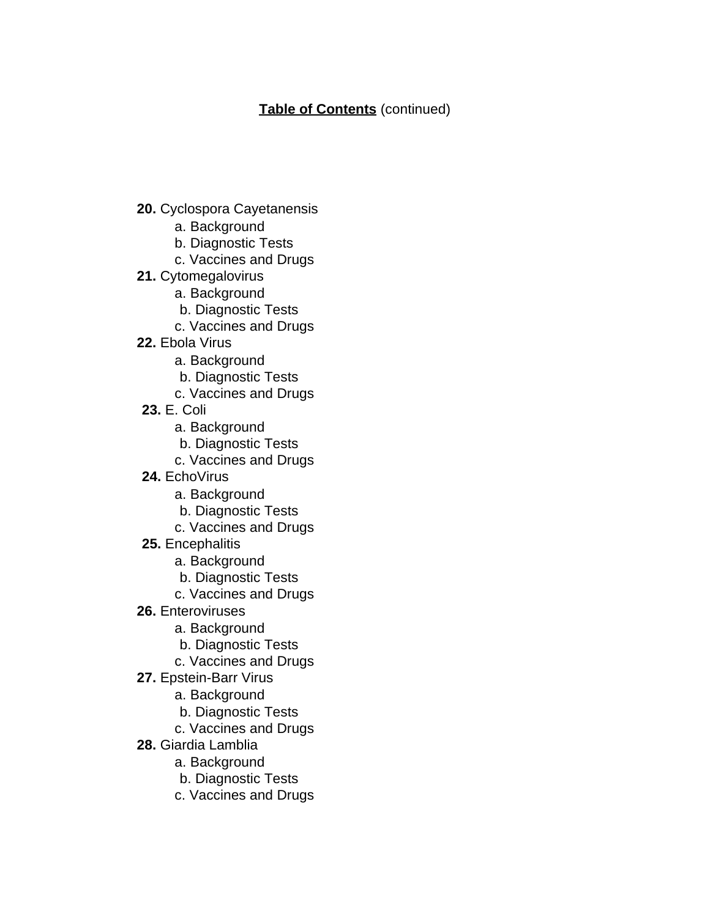- **20.** Cyclospora Cayetanensis
	- a. Background
	- b. Diagnostic Tests
	- c. Vaccines and Drugs
- **21.** Cytomegalovirus
	- a. Background
	- b. Diagnostic Tests
	- c. Vaccines and Drugs
- **22.** Ebola Virus
	- a. Background
	- b. Diagnostic Tests
	- c. Vaccines and Drugs
- **23.** E. Coli
	- a. Background
	- b. Diagnostic Tests
	- c. Vaccines and Drugs
- **24.** EchoVirus
	- a. Background
	- b. Diagnostic Tests
	- c. Vaccines and Drugs
- **25.** Encephalitis
	- a. Background
	- b. Diagnostic Tests
	- c. Vaccines and Drugs
- **26.** Enteroviruses
	- a. Background
	- b. Diagnostic Tests
	- c. Vaccines and Drugs
- **27.** Epstein-Barr Virus
	- a. Background
	- b. Diagnostic Tests
	- c. Vaccines and Drugs
- **28.** Giardia Lamblia
	- a. Background
	- b. Diagnostic Tests
	- c. Vaccines and Drugs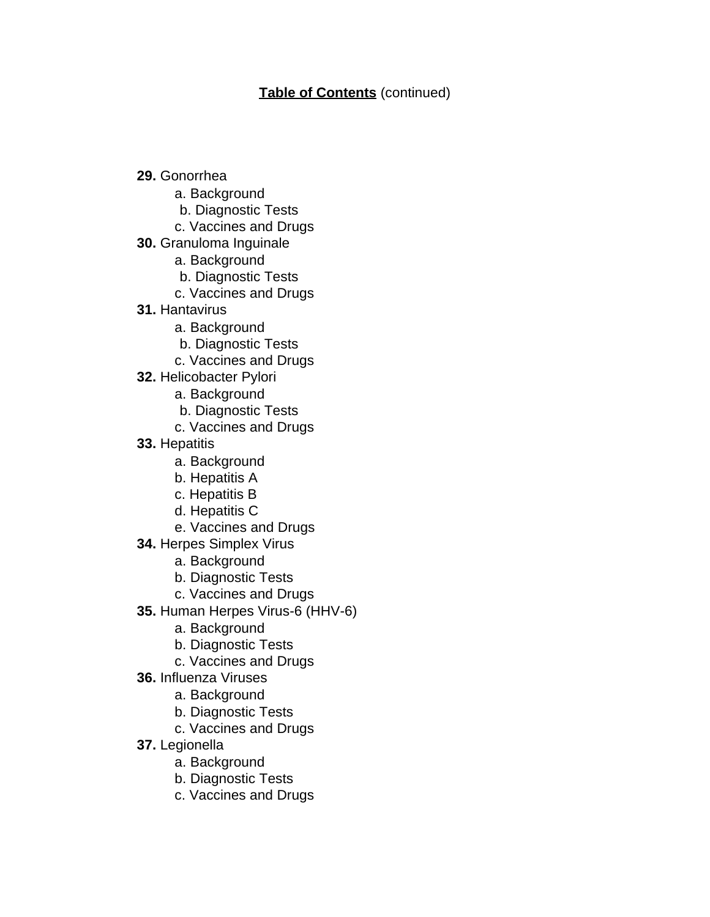- **29.** Gonorrhea
	- a. Background
	- b. Diagnostic Tests
	- c. Vaccines and Drugs
- **30.** Granuloma Inguinale
	- a. Background
	- b. Diagnostic Tests
	- c. Vaccines and Drugs
- **31.** Hantavirus
	- a. Background
	- b. Diagnostic Tests
	- c. Vaccines and Drugs
- **32.** Helicobacter Pylori
	- a. Background
	- b. Diagnostic Tests
	- c. Vaccines and Drugs
- **33.** Hepatitis
	- a. Background
	- b. Hepatitis A
	- c. Hepatitis B
	- d. Hepatitis C
	- e. Vaccines and Drugs
- **34.** Herpes Simplex Virus
	- a. Background
	- b. Diagnostic Tests
	- c. Vaccines and Drugs
- **35.** Human Herpes Virus-6 (HHV-6)
	- a. Background
	- b. Diagnostic Tests
	- c. Vaccines and Drugs
- **36.** Influenza Viruses
	- a. Background
	- b. Diagnostic Tests
	- c. Vaccines and Drugs
- **37.** Legionella
	- a. Background
	- b. Diagnostic Tests
	- c. Vaccines and Drugs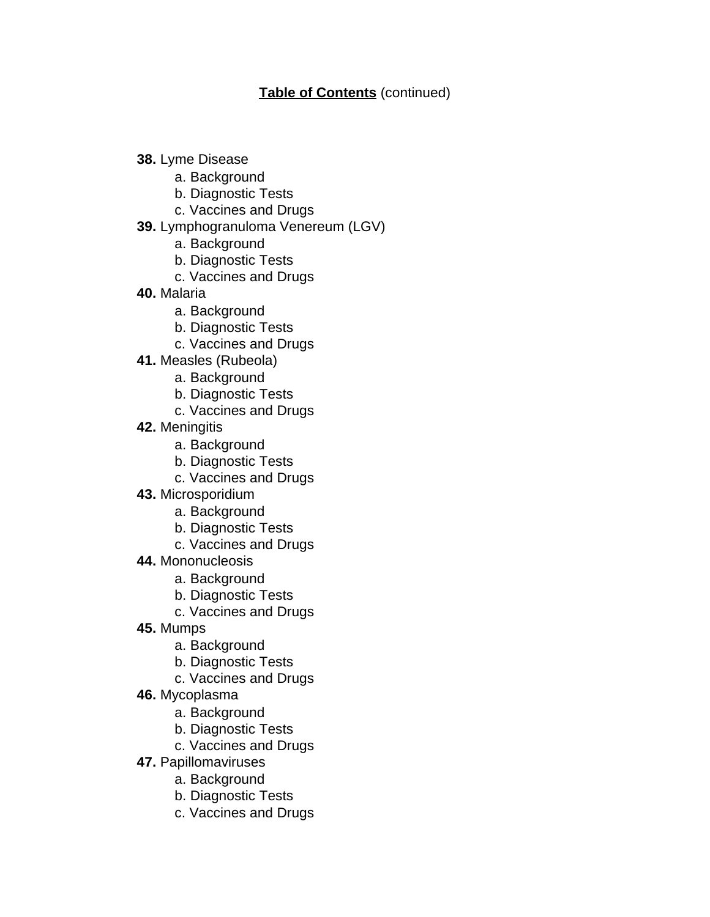- **38.** Lyme Disease
	- a. Background
	- b. Diagnostic Tests
	- c. Vaccines and Drugs
- **39.** Lymphogranuloma Venereum (LGV)
	- a. Background
	- b. Diagnostic Tests
	- c. Vaccines and Drugs
- **40.** Malaria
	- a. Background
	- b. Diagnostic Tests
	- c. Vaccines and Drugs
- **41.** Measles (Rubeola)
	- a. Background
	- b. Diagnostic Tests
	- c. Vaccines and Drugs
- **42.** Meningitis
	- a. Background
	- b. Diagnostic Tests
	- c. Vaccines and Drugs
- **43.** Microsporidium
	- a. Background
	- b. Diagnostic Tests
	- c. Vaccines and Drugs
- **44.** Mononucleosis
	- a. Background
	- b. Diagnostic Tests
	- c. Vaccines and Drugs
- **45.** Mumps
	- a. Background
	- b. Diagnostic Tests
	- c. Vaccines and Drugs
- **46.** Mycoplasma
	- a. Background
	- b. Diagnostic Tests
	- c. Vaccines and Drugs
- **47.** Papillomaviruses
	- a. Background
	- b. Diagnostic Tests
	- c. Vaccines and Drugs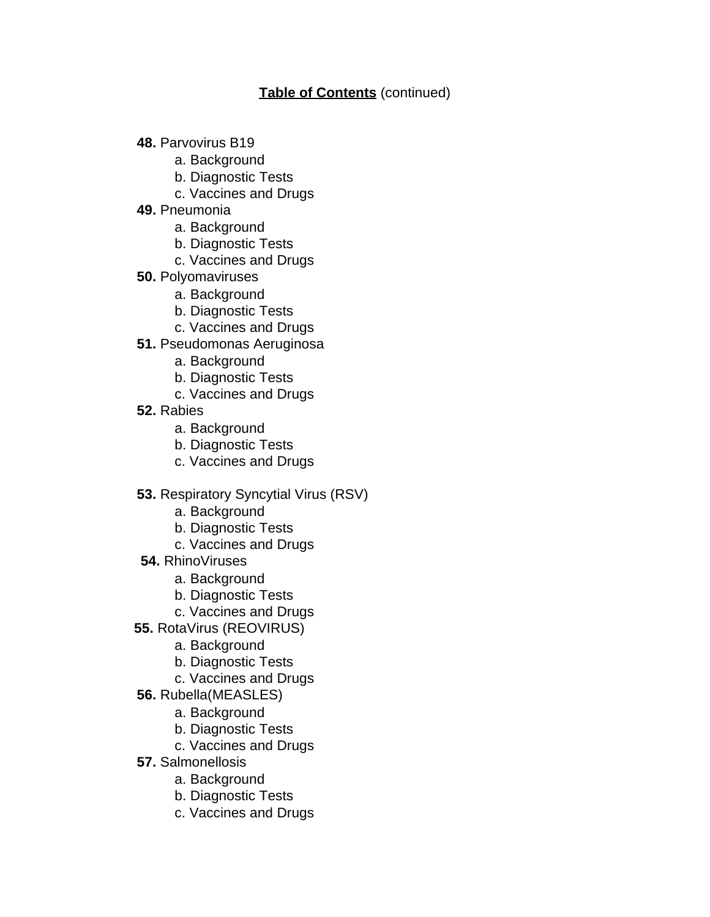- **48.** Parvovirus B19
	- a. Background
	- b. Diagnostic Tests
	- c. Vaccines and Drugs
- **49.** Pneumonia
	- a. Background
	- b. Diagnostic Tests
	- c. Vaccines and Drugs
- **50.** Polyomaviruses
	- a. Background
	- b. Diagnostic Tests
	- c. Vaccines and Drugs
- **51.** Pseudomonas Aeruginosa
	- a. Background
	- b. Diagnostic Tests
	- c. Vaccines and Drugs
- **52.** Rabies
	- a. Background
	- b. Diagnostic Tests
	- c. Vaccines and Drugs
- **53.** Respiratory Syncytial Virus (RSV)
	- a. Background
	- b. Diagnostic Tests
	- c. Vaccines and Drugs
- **54.** RhinoViruses
	- a. Background
	- b. Diagnostic Tests
	- c. Vaccines and Drugs
- **55.** RotaVirus (REOVIRUS)
	- a. Background
	- b. Diagnostic Tests
	- c. Vaccines and Drugs
- **56.** Rubella(MEASLES)
	- a. Background
	- b. Diagnostic Tests
	- c. Vaccines and Drugs
- **57.** Salmonellosis
	- a. Background
	- b. Diagnostic Tests
	- c. Vaccines and Drugs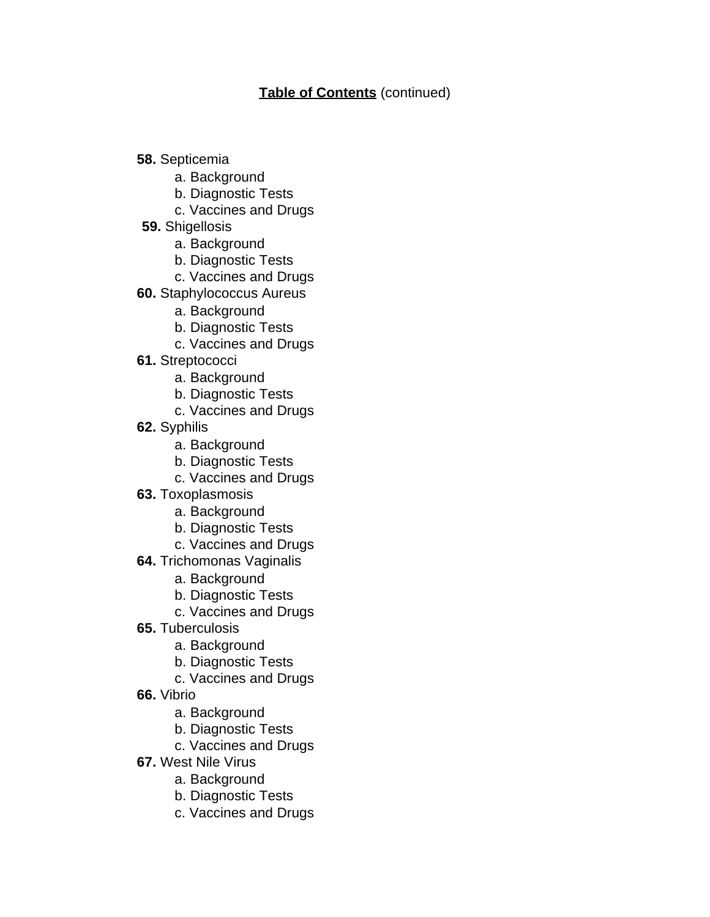- **58.** Septicemia
	- a. Background
	- b. Diagnostic Tests
	- c. Vaccines and Drugs
- **59.** Shigellosis
	- a. Background
	- b. Diagnostic Tests
	- c. Vaccines and Drugs
- **60.** Staphylococcus Aureus
	- a. Background
	- b. Diagnostic Tests
	- c. Vaccines and Drugs
- **61.** Streptococci
	- a. Background
	- b. Diagnostic Tests
	- c. Vaccines and Drugs
- **62.** Syphilis
	- a. Background
	- b. Diagnostic Tests
	- c. Vaccines and Drugs
- **63.** Toxoplasmosis
	- a. Background
	- b. Diagnostic Tests
	- c. Vaccines and Drugs
- **64.** Trichomonas Vaginalis
	- a. Background
	- b. Diagnostic Tests
	- c. Vaccines and Drugs
- **65.** Tuberculosis
	- a. Background
	- b. Diagnostic Tests
	- c. Vaccines and Drugs
- **66.** Vibrio
	- a. Background
	- b. Diagnostic Tests
	- c. Vaccines and Drugs
- **67.** West Nile Virus
	- a. Background
	- b. Diagnostic Tests
	- c. Vaccines and Drugs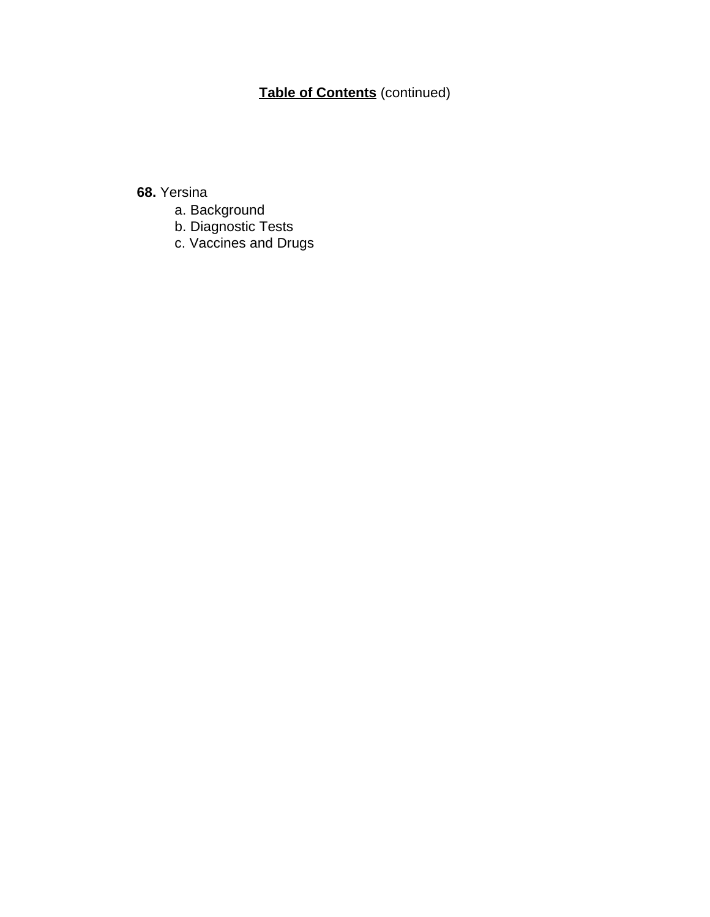## **68.** Yersina

- a. Background
- b. Diagnostic Tests
- c. Vaccines and Drugs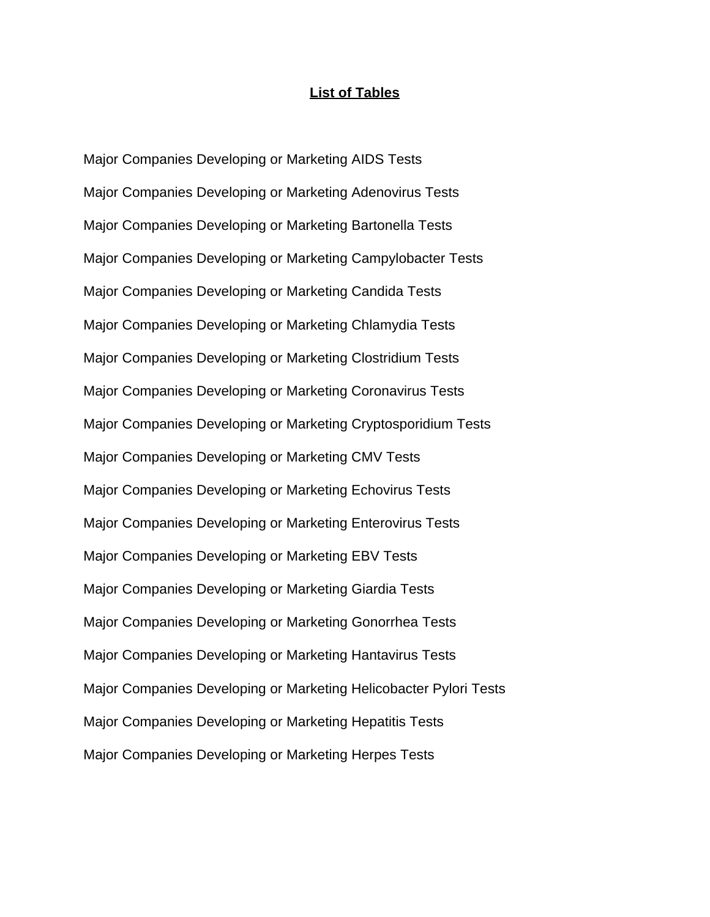#### **List of Tables**

Major Companies Developing or Marketing AIDS Tests Major Companies Developing or Marketing Adenovirus Tests Major Companies Developing or Marketing Bartonella Tests Major Companies Developing or Marketing Campylobacter Tests Major Companies Developing or Marketing Candida Tests Major Companies Developing or Marketing Chlamydia Tests Major Companies Developing or Marketing Clostridium Tests Major Companies Developing or Marketing Coronavirus Tests Major Companies Developing or Marketing Cryptosporidium Tests Major Companies Developing or Marketing CMV Tests Major Companies Developing or Marketing Echovirus Tests Major Companies Developing or Marketing Enterovirus Tests Major Companies Developing or Marketing EBV Tests Major Companies Developing or Marketing Giardia Tests Major Companies Developing or Marketing Gonorrhea Tests Major Companies Developing or Marketing Hantavirus Tests Major Companies Developing or Marketing Helicobacter Pylori Tests Major Companies Developing or Marketing Hepatitis Tests Major Companies Developing or Marketing Herpes Tests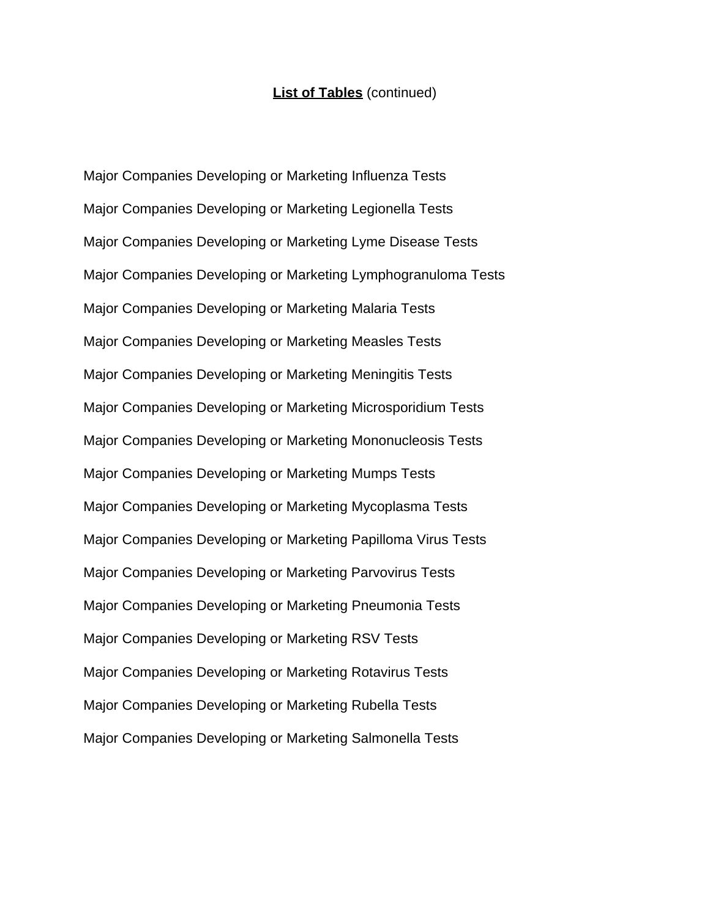#### **List of Tables** (continued)

Major Companies Developing or Marketing Influenza Tests Major Companies Developing or Marketing Legionella Tests Major Companies Developing or Marketing Lyme Disease Tests Major Companies Developing or Marketing Lymphogranuloma Tests Major Companies Developing or Marketing Malaria Tests Major Companies Developing or Marketing Measles Tests Major Companies Developing or Marketing Meningitis Tests Major Companies Developing or Marketing Microsporidium Tests Major Companies Developing or Marketing Mononucleosis Tests Major Companies Developing or Marketing Mumps Tests Major Companies Developing or Marketing Mycoplasma Tests Major Companies Developing or Marketing Papilloma Virus Tests Major Companies Developing or Marketing Parvovirus Tests Major Companies Developing or Marketing Pneumonia Tests Major Companies Developing or Marketing RSV Tests Major Companies Developing or Marketing Rotavirus Tests Major Companies Developing or Marketing Rubella Tests Major Companies Developing or Marketing Salmonella Tests